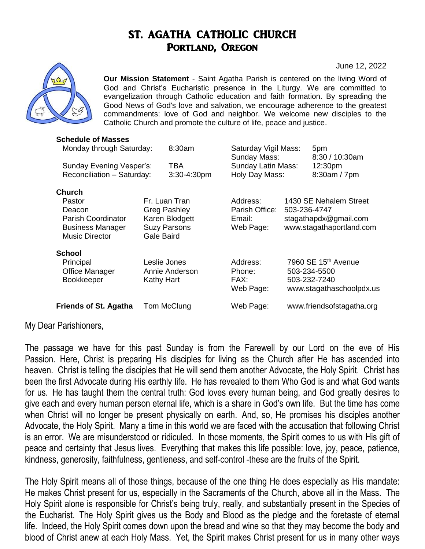### ST. AGATHA CATHOLIC CHURCH PORTLAND, OREGON

June 12, 2022



**Our Mission Statement** - Saint Agatha Parish is centered on the living Word of God and Christ's Eucharistic presence in the Liturgy. We are committed to evangelization through Catholic education and faith formation. By spreading the Good News of God's love and salvation, we encourage adherence to the greatest commandments: love of God and neighbor. We welcome new disciples to the Catholic Church and promote the culture of life, peace and justice.

| <b>Schedule of Masses</b>    |                                       |                |                                      |                                                                                             |                           |
|------------------------------|---------------------------------------|----------------|--------------------------------------|---------------------------------------------------------------------------------------------|---------------------------|
| Monday through Saturday:     |                                       | $8:30$ am      | Saturday Vigil Mass:<br>Sunday Mass: |                                                                                             | 5pm<br>8:30 / 10:30am     |
| Sunday Evening Vesper's:     |                                       | TBA            | Sunday Latin Mass:                   |                                                                                             | 12:30 <sub>pm</sub>       |
| Reconciliation - Saturday:   |                                       | 3:30-4:30pm    | Holy Day Mass:                       |                                                                                             | 8:30am / 7pm              |
| <b>Church</b>                |                                       |                |                                      |                                                                                             |                           |
| Pastor                       | Fr. Luan Tran                         |                | Address:                             | 1430 SE Nehalem Street<br>503-236-4747<br>stagathapdx@gmail.com<br>www.stagathaportland.com |                           |
| Deacon                       | <b>Greg Pashley</b>                   |                | Parish Office:                       |                                                                                             |                           |
| Parish Coordinator           | Karen Blodgett<br><b>Suzy Parsons</b> |                | Email:<br>Web Page:                  |                                                                                             |                           |
| <b>Business Manager</b>      |                                       |                |                                      |                                                                                             |                           |
| <b>Music Director</b>        | Gale Baird                            |                |                                      |                                                                                             |                           |
| <b>School</b>                |                                       |                |                                      |                                                                                             |                           |
| Principal                    | Leslie Jones                          |                | Address:                             | 7960 SE 15 <sup>th</sup> Avenue                                                             |                           |
| <b>Office Manager</b>        |                                       | Annie Anderson | Phone:                               | 503-234-5500                                                                                |                           |
| <b>Bookkeeper</b>            | Kathy Hart                            |                | FAX:                                 |                                                                                             | 503-232-7240              |
|                              |                                       |                | Web Page:                            |                                                                                             | www.stagathaschoolpdx.us  |
| <b>Friends of St. Agatha</b> |                                       | Tom McClung    | Web Page:                            |                                                                                             | www.friendsofstagatha.org |

My Dear Parishioners,

The passage we have for this past Sunday is from the Farewell by our Lord on the eve of His Passion. Here, Christ is preparing His disciples for living as the Church after He has ascended into heaven. Christ is telling the disciples that He will send them another Advocate, the Holy Spirit. Christ has been the first Advocate during His earthly life. He has revealed to them Who God is and what God wants for us. He has taught them the central truth: God loves every human being, and God greatly desires to give each and every human person eternal life, which is a share in God's own life. But the time has come when Christ will no longer be present physically on earth. And, so, He promises his disciples another Advocate, the Holy Spirit. Many a time in this world we are faced with the accusation that following Christ is an error. We are misunderstood or ridiculed. In those moments, the Spirit comes to us with His gift of peace and certainty that Jesus lives. Everything that makes this life possible: love, joy, peace, patience, kindness, generosity, faithfulness, gentleness, and self-control -these are the fruits of the Spirit.

The Holy Spirit means all of those things, because of the one thing He does especially as His mandate: He makes Christ present for us, especially in the Sacraments of the Church, above all in the Mass. The Holy Spirit alone is responsible for Christ's being truly, really, and substantially present in the Species of the Eucharist. The Holy Spirit gives us the Body and Blood as the pledge and the foretaste of eternal life. Indeed, the Holy Spirit comes down upon the bread and wine so that they may become the body and blood of Christ anew at each Holy Mass. Yet, the Spirit makes Christ present for us in many other ways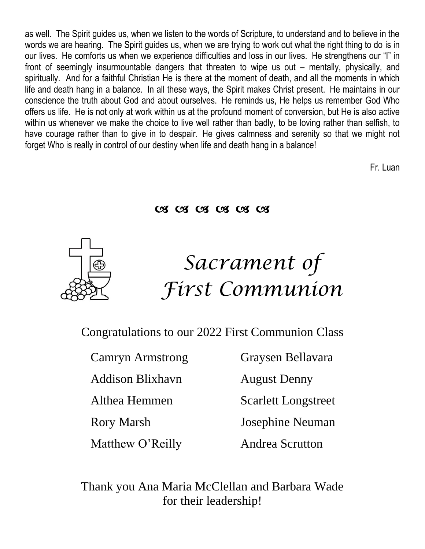as well. The Spirit guides us, when we listen to the words of Scripture, to understand and to believe in the words we are hearing. The Spirit guides us, when we are trying to work out what the right thing to do is in our lives. He comforts us when we experience difficulties and loss in our lives. He strengthens our "I" in front of seemingly insurmountable dangers that threaten to wipe us out – mentally, physically, and spiritually. And for a faithful Christian He is there at the moment of death, and all the moments in which life and death hang in a balance. In all these ways, the Spirit makes Christ present. He maintains in our conscience the truth about God and about ourselves. He reminds us, He helps us remember God Who offers us life. He is not only at work within us at the profound moment of conversion, but He is also active within us whenever we make the choice to live well rather than badly, to be loving rather than selfish, to have courage rather than to give in to despair. He gives calmness and serenity so that we might not forget Who is really in control of our destiny when life and death hang in a balance!

Fr. Luan

03 03 03 03 03 03



# *Sacrament of First Communion*

Congratulations to our 2022 First Communion Class

Addison Blixhavn August Denny

Matthew O'Reilly **Andrea Scrutton** 

Camryn Armstrong Graysen Bellavara

Althea Hemmen Scarlett Longstreet

Rory Marsh Josephine Neuman

Thank you Ana Maria McClellan and Barbara Wade for their leadership!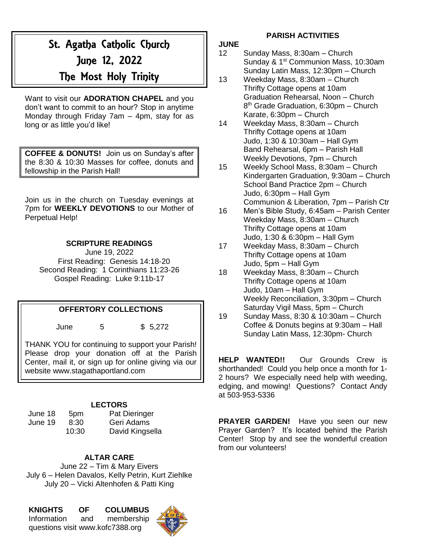## St. Agatha Catholic Church June 12, 2022 The Most Holy Trinity

Want to visit our **ADORATION CHAPEL** and you don't want to commit to an hour? Stop in anytime Monday through Friday 7am – 4pm, stay for as long or as little you'd like!

**COFFEE & DONUTS!** Join us on Sunday's after the 8:30 & 10:30 Masses for coffee, donuts and fellowship in the Parish Hall!

Join us in the church on Tuesday evenings at 7pm for **WEEKLY DEVOTIONS** to our Mother of Perpetual Help!

#### **SCRIPTURE READINGS**

June 19, 2022 First Reading: Genesis 14:18-20 Second Reading: 1 Corinthians 11:23-26 Gospel Reading: Luke 9:11b-17

#### **OFFERTORY COLLECTIONS**

June 5 \$ 5,272

THANK YOU for continuing to support your Parish! Please drop your donation off at the Parish Center, mail it, or sign up for online giving via our website www.stagathaportland.com

#### **LECTORS**

June 18 5pm Pat Dieringer June 19 8:30 Geri Adams 10:30 David Kingsella

#### **ALTAR CARE**

June 22 – Tim & Mary Eivers July 6 – Helen Davalos, Kelly Petrin, Kurt Ziehlke July 20 – Vicki Altenhofen & Patti King



#### **PARISH ACTIVITIES**

#### **JUNE**

- 12 Sunday Mass, 8:30am Church Sunday & 1<sup>st</sup> Communion Mass, 10:30am Sunday Latin Mass, 12:30pm – Church
- 13 Weekday Mass, 8:30am Church Thrifty Cottage opens at 10am Graduation Rehearsal, Noon – Church 8 th Grade Graduation, 6:30pm – Church Karate, 6:30pm – Church
- 14 Weekday Mass, 8:30am Church Thrifty Cottage opens at 10am Judo, 1:30 & 10:30am – Hall Gym Band Rehearsal, 6pm – Parish Hall Weekly Devotions, 7pm – Church
- 15 Weekly School Mass, 8:30am Church Kindergarten Graduation, 9:30am – Church School Band Practice 2pm – Church Judo, 6:30pm – Hall Gym Communion & Liberation, 7pm – Parish Ctr
- 16 Men's Bible Study, 6:45am Parish Center Weekday Mass, 8:30am – Church Thrifty Cottage opens at 10am Judo, 1:30 & 6:30pm – Hall Gym
- 17 Weekday Mass, 8:30am Church Thrifty Cottage opens at 10am Judo, 5pm – Hall Gym
- 18 Weekday Mass, 8:30am Church Thrifty Cottage opens at 10am Judo, 10am – Hall Gym Weekly Reconciliation, 3:30pm – Church Saturday Vigil Mass, 5pm – Church
- 19 Sunday Mass, 8:30 & 10:30am Church Coffee & Donuts begins at 9:30am – Hall Sunday Latin Mass, 12:30pm- Church

**HELP WANTED!!** Our Grounds Crew is shorthanded! Could you help once a month for 1- 2 hours? We especially need help with weeding, edging, and mowing! Questions? Contact Andy at 503-953-5336

**PRAYER GARDEN!** Have you seen our new Prayer Garden? It's located behind the Parish Center! Stop by and see the wonderful creation from our volunteers!